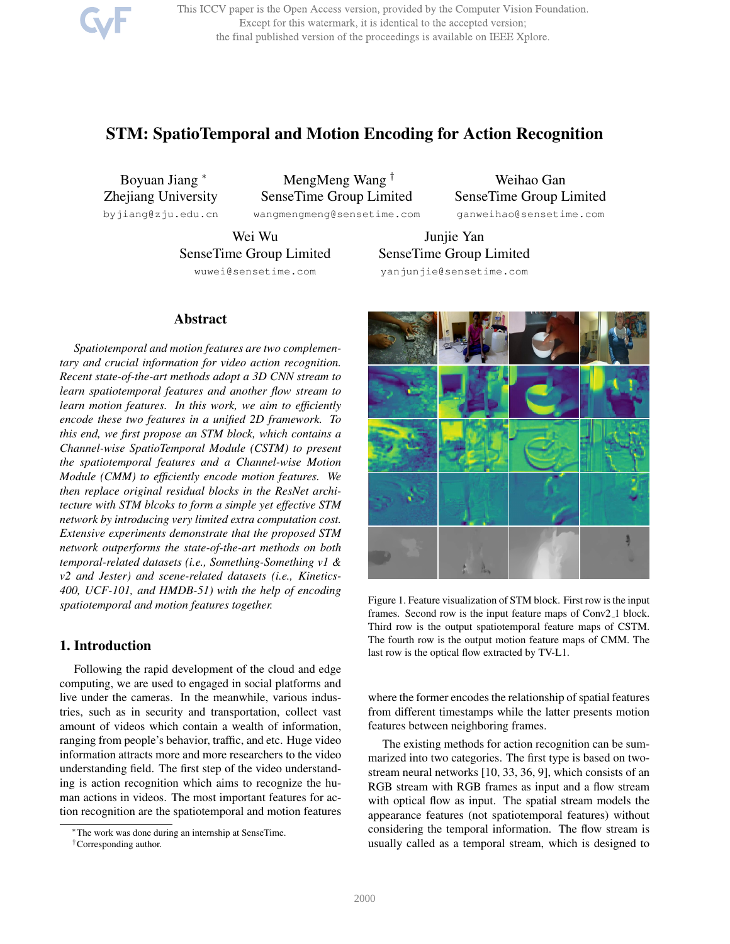This ICCV paper is the Open Access version, provided by the Computer Vision Foundation. Except for this watermark, it is identical to the accepted version; the final published version of the proceedings is available on IEEE Xplore.

# STM: SpatioTemporal and Motion Encoding for Action Recognition

Boyuan Jiang <sup>∗</sup> Zhejiang University byjiang@zju.edu.cn

MengMeng Wang † SenseTime Group Limited

wangmengmeng@sensetime.com

Weihao Gan SenseTime Group Limited ganweihao@sensetime.com

Wei Wu SenseTime Group Limited wuwei@sensetime.com

# Abstract

*Spatiotemporal and motion features are two complementary and crucial information for video action recognition. Recent state-of-the-art methods adopt a 3D CNN stream to learn spatiotemporal features and another flow stream to learn motion features. In this work, we aim to efficiently encode these two features in a unified 2D framework. To this end, we first propose an STM block, which contains a Channel-wise SpatioTemporal Module (CSTM) to present the spatiotemporal features and a Channel-wise Motion Module (CMM) to efficiently encode motion features. We then replace original residual blocks in the ResNet architecture with STM blcoks to form a simple yet effective STM network by introducing very limited extra computation cost. Extensive experiments demonstrate that the proposed STM network outperforms the state-of-the-art methods on both temporal-related datasets (i.e., Something-Something v1 & v2 and Jester) and scene-related datasets (i.e., Kinetics-400, UCF-101, and HMDB-51) with the help of encoding spatiotemporal and motion features together.*

# 1. Introduction

Following the rapid development of the cloud and edge computing, we are used to engaged in social platforms and live under the cameras. In the meanwhile, various industries, such as in security and transportation, collect vast amount of videos which contain a wealth of information, ranging from people's behavior, traffic, and etc. Huge video information attracts more and more researchers to the video understanding field. The first step of the video understanding is action recognition which aims to recognize the human actions in videos. The most important features for action recognition are the spatiotemporal and motion features



Junjie Yan



Figure 1. Feature visualization of STM block. First row is the input frames. Second row is the input feature maps of Conv2<sub>-1</sub> block. Third row is the output spatiotemporal feature maps of CSTM. The fourth row is the output motion feature maps of CMM. The last row is the optical flow extracted by TV-L1.

where the former encodes the relationship of spatial features from different timestamps while the latter presents motion features between neighboring frames.

The existing methods for action recognition can be summarized into two categories. The first type is based on twostream neural networks [10, 33, 36, 9], which consists of an RGB stream with RGB frames as input and a flow stream with optical flow as input. The spatial stream models the appearance features (not spatiotemporal features) without considering the temporal information. The flow stream is usually called as a temporal stream, which is designed to

<sup>∗</sup>The work was done during an internship at SenseTime.

<sup>†</sup>Corresponding author.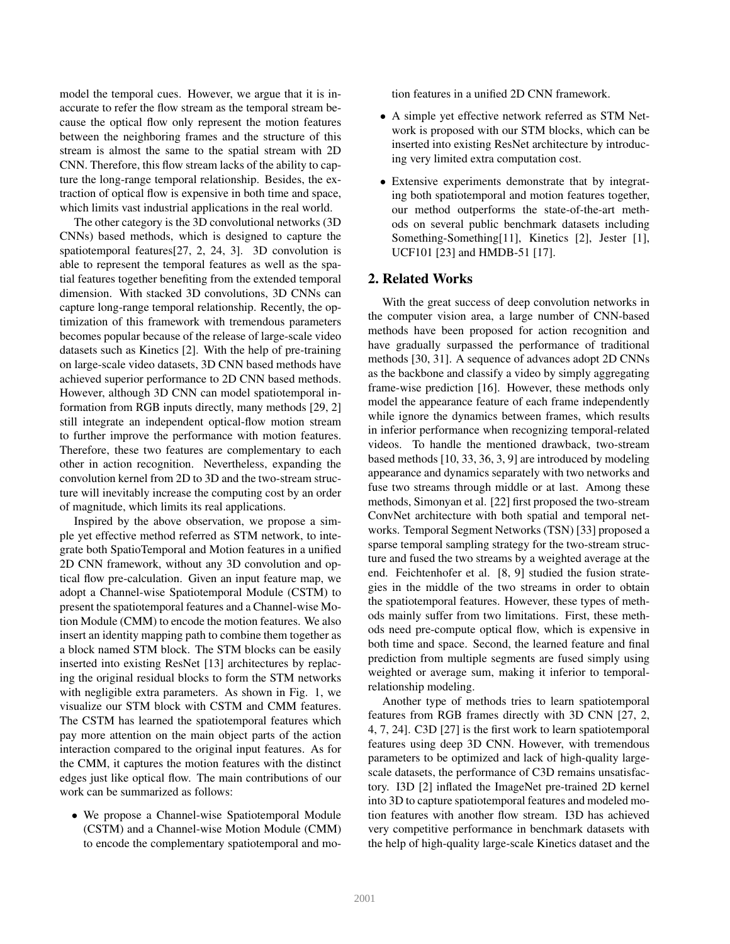model the temporal cues. However, we argue that it is inaccurate to refer the flow stream as the temporal stream because the optical flow only represent the motion features between the neighboring frames and the structure of this stream is almost the same to the spatial stream with 2D CNN. Therefore, this flow stream lacks of the ability to capture the long-range temporal relationship. Besides, the extraction of optical flow is expensive in both time and space, which limits vast industrial applications in the real world.

The other category is the 3D convolutional networks (3D CNNs) based methods, which is designed to capture the spatiotemporal features[27, 2, 24, 3]. 3D convolution is able to represent the temporal features as well as the spatial features together benefiting from the extended temporal dimension. With stacked 3D convolutions, 3D CNNs can capture long-range temporal relationship. Recently, the optimization of this framework with tremendous parameters becomes popular because of the release of large-scale video datasets such as Kinetics [2]. With the help of pre-training on large-scale video datasets, 3D CNN based methods have achieved superior performance to 2D CNN based methods. However, although 3D CNN can model spatiotemporal information from RGB inputs directly, many methods [29, 2] still integrate an independent optical-flow motion stream to further improve the performance with motion features. Therefore, these two features are complementary to each other in action recognition. Nevertheless, expanding the convolution kernel from 2D to 3D and the two-stream structure will inevitably increase the computing cost by an order of magnitude, which limits its real applications.

Inspired by the above observation, we propose a simple yet effective method referred as STM network, to integrate both SpatioTemporal and Motion features in a unified 2D CNN framework, without any 3D convolution and optical flow pre-calculation. Given an input feature map, we adopt a Channel-wise Spatiotemporal Module (CSTM) to present the spatiotemporal features and a Channel-wise Motion Module (CMM) to encode the motion features. We also insert an identity mapping path to combine them together as a block named STM block. The STM blocks can be easily inserted into existing ResNet [13] architectures by replacing the original residual blocks to form the STM networks with negligible extra parameters. As shown in Fig. 1, we visualize our STM block with CSTM and CMM features. The CSTM has learned the spatiotemporal features which pay more attention on the main object parts of the action interaction compared to the original input features. As for the CMM, it captures the motion features with the distinct edges just like optical flow. The main contributions of our work can be summarized as follows:

• We propose a Channel-wise Spatiotemporal Module (CSTM) and a Channel-wise Motion Module (CMM) to encode the complementary spatiotemporal and motion features in a unified 2D CNN framework.

- A simple yet effective network referred as STM Network is proposed with our STM blocks, which can be inserted into existing ResNet architecture by introducing very limited extra computation cost.
- Extensive experiments demonstrate that by integrating both spatiotemporal and motion features together, our method outperforms the state-of-the-art methods on several public benchmark datasets including Something-Something[11], Kinetics [2], Jester [1], UCF101 [23] and HMDB-51 [17].

# 2. Related Works

With the great success of deep convolution networks in the computer vision area, a large number of CNN-based methods have been proposed for action recognition and have gradually surpassed the performance of traditional methods [30, 31]. A sequence of advances adopt 2D CNNs as the backbone and classify a video by simply aggregating frame-wise prediction [16]. However, these methods only model the appearance feature of each frame independently while ignore the dynamics between frames, which results in inferior performance when recognizing temporal-related videos. To handle the mentioned drawback, two-stream based methods [10, 33, 36, 3, 9] are introduced by modeling appearance and dynamics separately with two networks and fuse two streams through middle or at last. Among these methods, Simonyan et al. [22] first proposed the two-stream ConvNet architecture with both spatial and temporal networks. Temporal Segment Networks (TSN) [33] proposed a sparse temporal sampling strategy for the two-stream structure and fused the two streams by a weighted average at the end. Feichtenhofer et al. [8, 9] studied the fusion strategies in the middle of the two streams in order to obtain the spatiotemporal features. However, these types of methods mainly suffer from two limitations. First, these methods need pre-compute optical flow, which is expensive in both time and space. Second, the learned feature and final prediction from multiple segments are fused simply using weighted or average sum, making it inferior to temporalrelationship modeling.

Another type of methods tries to learn spatiotemporal features from RGB frames directly with 3D CNN [27, 2, 4, 7, 24]. C3D [27] is the first work to learn spatiotemporal features using deep 3D CNN. However, with tremendous parameters to be optimized and lack of high-quality largescale datasets, the performance of C3D remains unsatisfactory. I3D [2] inflated the ImageNet pre-trained 2D kernel into 3D to capture spatiotemporal features and modeled motion features with another flow stream. I3D has achieved very competitive performance in benchmark datasets with the help of high-quality large-scale Kinetics dataset and the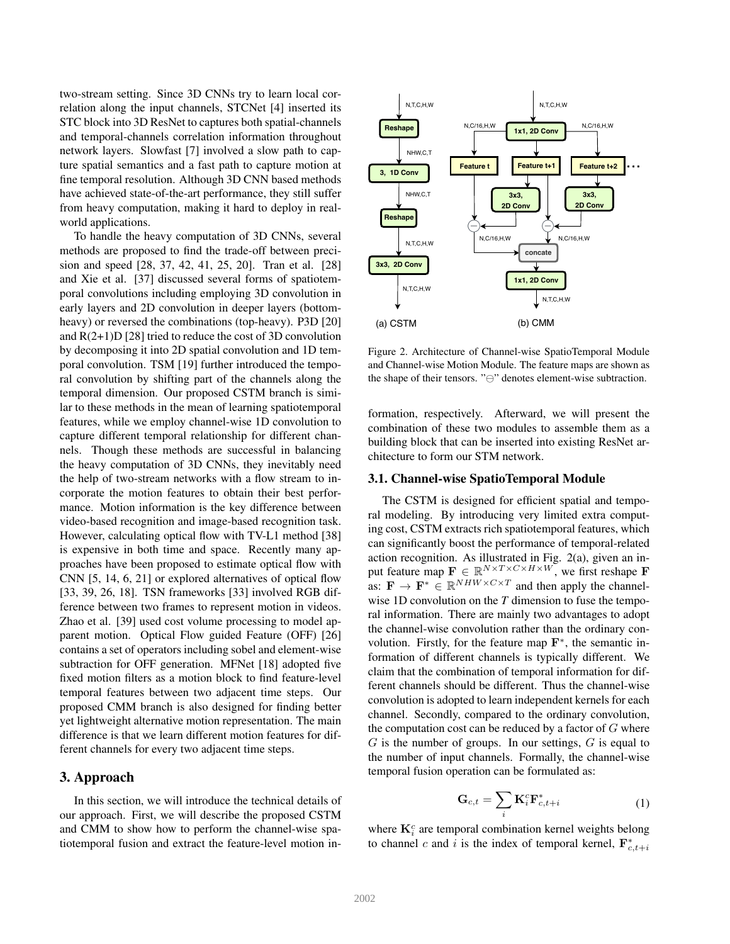two-stream setting. Since 3D CNNs try to learn local correlation along the input channels, STCNet [4] inserted its STC block into 3D ResNet to captures both spatial-channels and temporal-channels correlation information throughout network layers. Slowfast [7] involved a slow path to capture spatial semantics and a fast path to capture motion at fine temporal resolution. Although 3D CNN based methods have achieved state-of-the-art performance, they still suffer from heavy computation, making it hard to deploy in realworld applications.

To handle the heavy computation of 3D CNNs, several methods are proposed to find the trade-off between precision and speed [28, 37, 42, 41, 25, 20]. Tran et al. [28] and Xie et al. [37] discussed several forms of spatiotemporal convolutions including employing 3D convolution in early layers and 2D convolution in deeper layers (bottomheavy) or reversed the combinations (top-heavy). P3D [20] and R(2+1)D [28] tried to reduce the cost of 3D convolution by decomposing it into 2D spatial convolution and 1D temporal convolution. TSM [19] further introduced the temporal convolution by shifting part of the channels along the temporal dimension. Our proposed CSTM branch is similar to these methods in the mean of learning spatiotemporal features, while we employ channel-wise 1D convolution to capture different temporal relationship for different channels. Though these methods are successful in balancing the heavy computation of 3D CNNs, they inevitably need the help of two-stream networks with a flow stream to incorporate the motion features to obtain their best performance. Motion information is the key difference between video-based recognition and image-based recognition task. However, calculating optical flow with TV-L1 method [38] is expensive in both time and space. Recently many approaches have been proposed to estimate optical flow with CNN [5, 14, 6, 21] or explored alternatives of optical flow [33, 39, 26, 18]. TSN frameworks [33] involved RGB difference between two frames to represent motion in videos. Zhao et al. [39] used cost volume processing to model apparent motion. Optical Flow guided Feature (OFF) [26] contains a set of operators including sobel and element-wise subtraction for OFF generation. MFNet [18] adopted five fixed motion filters as a motion block to find feature-level temporal features between two adjacent time steps. Our proposed CMM branch is also designed for finding better yet lightweight alternative motion representation. The main difference is that we learn different motion features for different channels for every two adjacent time steps.

# 3. Approach

In this section, we will introduce the technical details of our approach. First, we will describe the proposed CSTM and CMM to show how to perform the channel-wise spatiotemporal fusion and extract the feature-level motion in-



Figure 2. Architecture of Channel-wise SpatioTemporal Module and Channel-wise Motion Module. The feature maps are shown as the shape of their tensors. "⊖" denotes element-wise subtraction.

formation, respectively. Afterward, we will present the combination of these two modules to assemble them as a building block that can be inserted into existing ResNet architecture to form our STM network.

#### 3.1. Channel-wise SpatioTemporal Module

The CSTM is designed for efficient spatial and temporal modeling. By introducing very limited extra computing cost, CSTM extracts rich spatiotemporal features, which can significantly boost the performance of temporal-related action recognition. As illustrated in Fig. 2(a), given an input feature map  $\mathbf{F} \in \mathbb{R}^{N \times T \times C \times H \times W}$ , we first reshape F as:  $\mathbf{F} \to \mathbf{F}^* \in \mathbb{R}^{NHW \times C \times T}$  and then apply the channelwise 1D convolution on the *T* dimension to fuse the temporal information. There are mainly two advantages to adopt the channel-wise convolution rather than the ordinary convolution. Firstly, for the feature map  $\mathbf{F}^*$ , the semantic information of different channels is typically different. We claim that the combination of temporal information for different channels should be different. Thus the channel-wise convolution is adopted to learn independent kernels for each channel. Secondly, compared to the ordinary convolution, the computation cost can be reduced by a factor of  $G$  where  $G$  is the number of groups. In our settings,  $G$  is equal to the number of input channels. Formally, the channel-wise temporal fusion operation can be formulated as:

$$
\mathbf{G}_{c,t} = \sum_{i} \mathbf{K}_{i}^{c} \mathbf{F}_{c,t+i}^{*} \tag{1}
$$

where  $\mathbf{K}_i^c$  are temporal combination kernel weights belong to channel c and i is the index of temporal kernel,  $\mathbf{F}_{c,t+i}^*$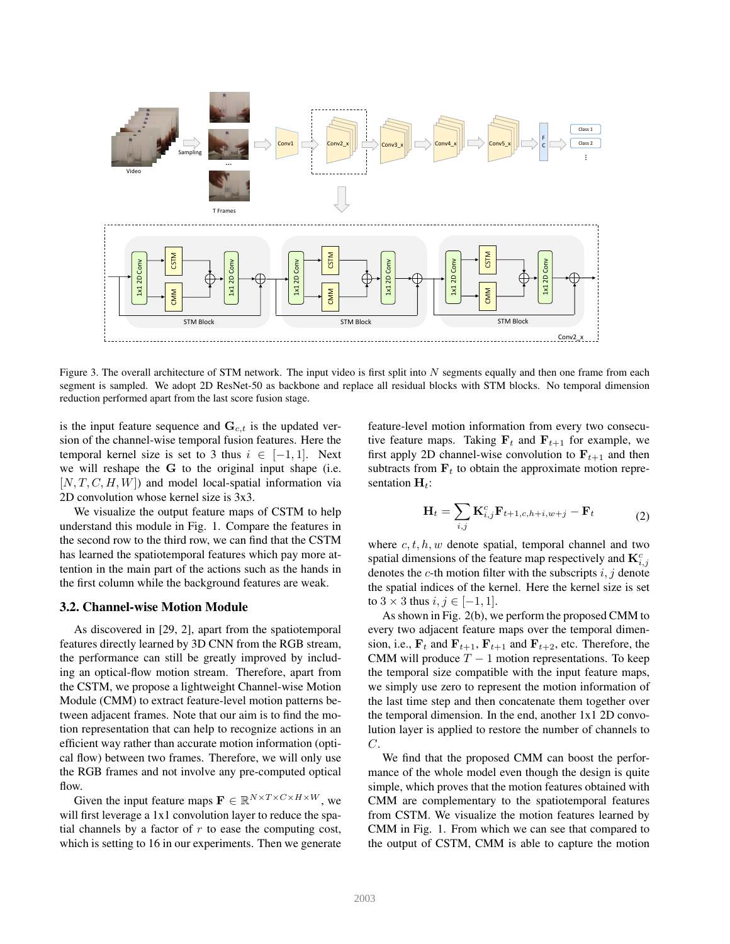

Figure 3. The overall architecture of STM network. The input video is first split into  $N$  segments equally and then one frame from each segment is sampled. We adopt 2D ResNet-50 as backbone and replace all residual blocks with STM blocks. No temporal dimension reduction performed apart from the last score fusion stage.

is the input feature sequence and  $\mathbf{G}_{c,t}$  is the updated version of the channel-wise temporal fusion features. Here the temporal kernel size is set to 3 thus  $i \in [-1,1]$ . Next we will reshape the G to the original input shape (i.e.  $[N, T, C, H, W]$  and model local-spatial information via 2D convolution whose kernel size is 3x3.

We visualize the output feature maps of CSTM to help understand this module in Fig. 1. Compare the features in the second row to the third row, we can find that the CSTM has learned the spatiotemporal features which pay more attention in the main part of the actions such as the hands in the first column while the background features are weak.

#### 3.2. Channel-wise Motion Module

As discovered in [29, 2], apart from the spatiotemporal features directly learned by 3D CNN from the RGB stream, the performance can still be greatly improved by including an optical-flow motion stream. Therefore, apart from the CSTM, we propose a lightweight Channel-wise Motion Module (CMM) to extract feature-level motion patterns between adjacent frames. Note that our aim is to find the motion representation that can help to recognize actions in an efficient way rather than accurate motion information (optical flow) between two frames. Therefore, we will only use the RGB frames and not involve any pre-computed optical flow.

Given the input feature maps  $\mathbf{F} \in \mathbb{R}^{N \times T \times C \times H \times W}$ , we will first leverage a 1x1 convolution layer to reduce the spatial channels by a factor of  $r$  to ease the computing cost, which is setting to 16 in our experiments. Then we generate feature-level motion information from every two consecutive feature maps. Taking  $F_t$  and  $F_{t+1}$  for example, we first apply 2D channel-wise convolution to  $\mathbf{F}_{t+1}$  and then subtracts from  $F_t$  to obtain the approximate motion representation  $H_t$ :

$$
\mathbf{H}_t = \sum_{i,j} \mathbf{K}_{i,j}^c \mathbf{F}_{t+1,c,h+i,w+j} - \mathbf{F}_t
$$
 (2)

where  $c, t, h, w$  denote spatial, temporal channel and two spatial dimensions of the feature map respectively and  $\mathbf{K}_{i,j}^c$ denotes the  $c$ -th motion filter with the subscripts  $i, j$  denote the spatial indices of the kernel. Here the kernel size is set to  $3 \times 3$  thus  $i, j \in [-1, 1]$ .

As shown in Fig. 2(b), we perform the proposed CMM to every two adjacent feature maps over the temporal dimension, i.e.,  $F_t$  and  $F_{t+1}$ ,  $F_{t+1}$  and  $F_{t+2}$ , etc. Therefore, the CMM will produce  $T - 1$  motion representations. To keep the temporal size compatible with the input feature maps, we simply use zero to represent the motion information of the last time step and then concatenate them together over the temporal dimension. In the end, another 1x1 2D convolution layer is applied to restore the number of channels to C.

We find that the proposed CMM can boost the performance of the whole model even though the design is quite simple, which proves that the motion features obtained with CMM are complementary to the spatiotemporal features from CSTM. We visualize the motion features learned by CMM in Fig. 1. From which we can see that compared to the output of CSTM, CMM is able to capture the motion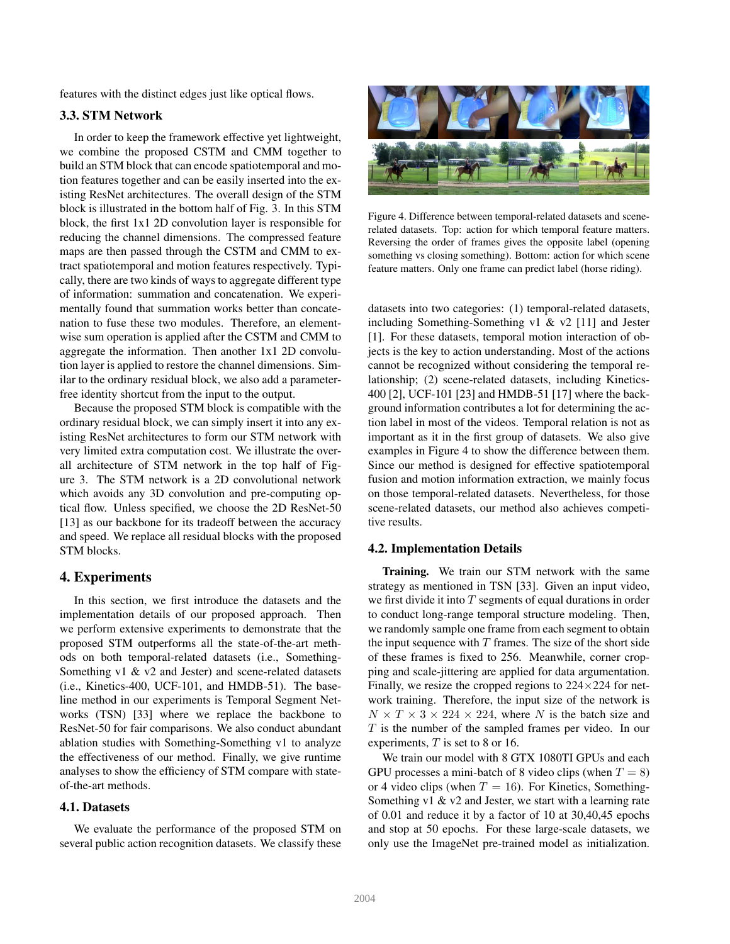features with the distinct edges just like optical flows.

## 3.3. STM Network

In order to keep the framework effective yet lightweight, we combine the proposed CSTM and CMM together to build an STM block that can encode spatiotemporal and motion features together and can be easily inserted into the existing ResNet architectures. The overall design of the STM block is illustrated in the bottom half of Fig. 3. In this STM block, the first 1x1 2D convolution layer is responsible for reducing the channel dimensions. The compressed feature maps are then passed through the CSTM and CMM to extract spatiotemporal and motion features respectively. Typically, there are two kinds of ways to aggregate different type of information: summation and concatenation. We experimentally found that summation works better than concatenation to fuse these two modules. Therefore, an elementwise sum operation is applied after the CSTM and CMM to aggregate the information. Then another 1x1 2D convolution layer is applied to restore the channel dimensions. Similar to the ordinary residual block, we also add a parameterfree identity shortcut from the input to the output.

Because the proposed STM block is compatible with the ordinary residual block, we can simply insert it into any existing ResNet architectures to form our STM network with very limited extra computation cost. We illustrate the overall architecture of STM network in the top half of Figure 3. The STM network is a 2D convolutional network which avoids any 3D convolution and pre-computing optical flow. Unless specified, we choose the 2D ResNet-50 [13] as our backbone for its tradeoff between the accuracy and speed. We replace all residual blocks with the proposed STM blocks.

#### 4. Experiments

In this section, we first introduce the datasets and the implementation details of our proposed approach. Then we perform extensive experiments to demonstrate that the proposed STM outperforms all the state-of-the-art methods on both temporal-related datasets (i.e., Something-Something v1 & v2 and Jester) and scene-related datasets (i.e., Kinetics-400, UCF-101, and HMDB-51). The baseline method in our experiments is Temporal Segment Networks (TSN) [33] where we replace the backbone to ResNet-50 for fair comparisons. We also conduct abundant ablation studies with Something-Something v1 to analyze the effectiveness of our method. Finally, we give runtime analyses to show the efficiency of STM compare with stateof-the-art methods.

#### 4.1. Datasets

We evaluate the performance of the proposed STM on several public action recognition datasets. We classify these



Figure 4. Difference between temporal-related datasets and scenerelated datasets. Top: action for which temporal feature matters. Reversing the order of frames gives the opposite label (opening something vs closing something). Bottom: action for which scene feature matters. Only one frame can predict label (horse riding).

datasets into two categories: (1) temporal-related datasets, including Something-Something v1 & v2 [11] and Jester [1]. For these datasets, temporal motion interaction of objects is the key to action understanding. Most of the actions cannot be recognized without considering the temporal relationship; (2) scene-related datasets, including Kinetics-400 [2], UCF-101 [23] and HMDB-51 [17] where the background information contributes a lot for determining the action label in most of the videos. Temporal relation is not as important as it in the first group of datasets. We also give examples in Figure 4 to show the difference between them. Since our method is designed for effective spatiotemporal fusion and motion information extraction, we mainly focus on those temporal-related datasets. Nevertheless, for those scene-related datasets, our method also achieves competitive results.

### 4.2. Implementation Details

Training. We train our STM network with the same strategy as mentioned in TSN [33]. Given an input video, we first divide it into  $T$  segments of equal durations in order to conduct long-range temporal structure modeling. Then, we randomly sample one frame from each segment to obtain the input sequence with  $T$  frames. The size of the short side of these frames is fixed to 256. Meanwhile, corner cropping and scale-jittering are applied for data argumentation. Finally, we resize the cropped regions to  $224 \times 224$  for network training. Therefore, the input size of the network is  $N \times T \times 3 \times 224 \times 224$ , where N is the batch size and  $T$  is the number of the sampled frames per video. In our experiments, T is set to 8 or 16.

We train our model with 8 GTX 1080TI GPUs and each GPU processes a mini-batch of 8 video clips (when  $T = 8$ ) or 4 video clips (when  $T = 16$ ). For Kinetics, Something-Something v1 & v2 and Jester, we start with a learning rate of 0.01 and reduce it by a factor of 10 at 30,40,45 epochs and stop at 50 epochs. For these large-scale datasets, we only use the ImageNet pre-trained model as initialization.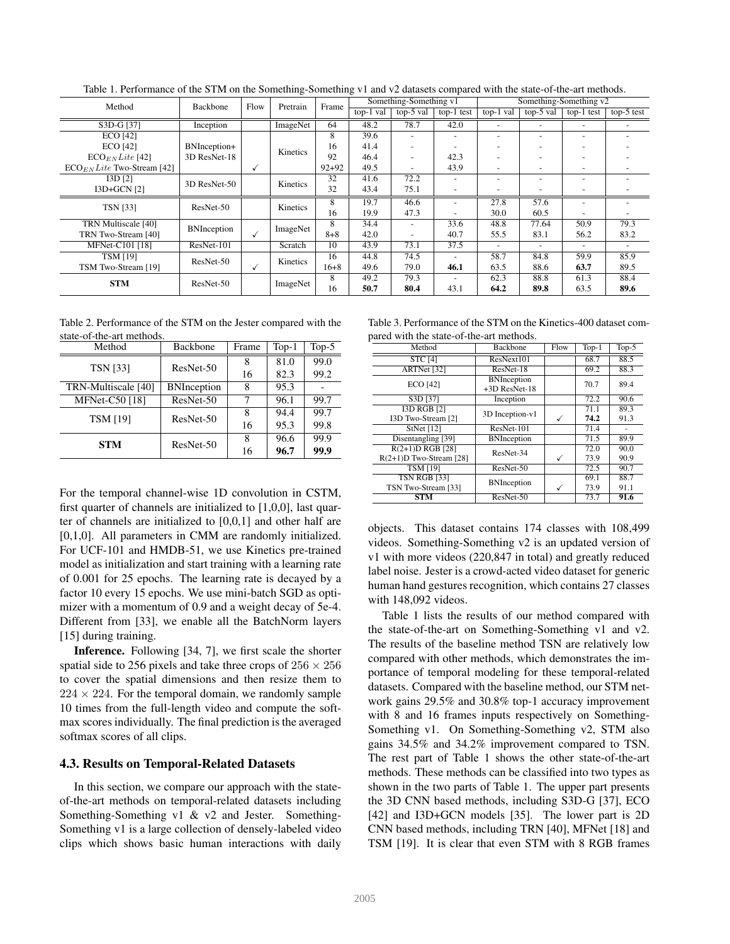| Method                                 | Backbone           |   | Flow<br>Pretrain |           |           | Something-Something v1   |                          |                          | Something-Something v2   |                          |              |  |
|----------------------------------------|--------------------|---|------------------|-----------|-----------|--------------------------|--------------------------|--------------------------|--------------------------|--------------------------|--------------|--|
|                                        |                    |   |                  | Frame     | top-1 val | top-5 val                | top-1 test               | top-1 val                | $top-5$ val              | top-1 test               | $top-5$ test |  |
| S3D-G [37]                             | Inception          |   | ImageNet         | 64        | 48.2      | 78.7                     | 42.0                     | $\overline{\phantom{a}}$ |                          |                          |              |  |
| <b>ECO</b> [42]                        |                    |   |                  | 8         | 39.6      |                          |                          | ۰                        |                          | ۰.                       |              |  |
| <b>ECO</b> [42]                        | BNInception+       |   | Kinetics         | 16        | 41.4      | $\overline{\phantom{a}}$ |                          | ۰                        |                          | $\overline{\phantom{0}}$ |              |  |
| $ECO_{EN}$ <i>Lite</i> [42]            | 3D ResNet-18       |   |                  | 92        | 46.4      | $\overline{\phantom{a}}$ | 42.3                     |                          |                          | $\overline{\phantom{0}}$ |              |  |
| $ECO_{EN}$ <i>Lite</i> Two-Stream [42] |                    | √ |                  | $92 + 92$ | 49.5      | $\overline{\phantom{a}}$ | 43.9                     | ۰                        |                          | $\overline{\phantom{0}}$ |              |  |
| I3D <sub>[2]</sub>                     | 3D ResNet-50       |   | Kinetics         | 32        | 41.6      | 72.2                     |                          | ۰                        |                          | $\overline{\phantom{0}}$ |              |  |
| I3D+GCN [2]                            |                    |   |                  | 32        | 43.4      | 75.1                     | $\overline{\phantom{a}}$ |                          |                          |                          |              |  |
| <b>TSN [33]</b>                        | ResNet-50          |   | Kinetics         | 8         | 19.7      | 46.6                     | $\tilde{\phantom{a}}$    | 27.8                     | 57.6                     | $\overline{\phantom{a}}$ |              |  |
|                                        |                    |   |                  | 16        | 19.9      | 47.3                     |                          | 30.0                     | 60.5                     |                          |              |  |
| TRN Multiscale [40]                    | <b>BNInception</b> |   | ImageNet         | 8         | 34.4      | $\overline{\phantom{a}}$ | 33.6                     | 48.8                     | 77.64                    | 50.9                     | 79.3         |  |
| TRN Two-Stream [40]                    |                    | ✓ |                  | $8 + 8$   | 42.0      | $\overline{\phantom{a}}$ | 40.7                     | 55.5                     | 83.1                     | 56.2                     | 83.2         |  |
| MFNet-C101 [18]                        | ResNet-101         |   | Scratch          | 10        | 43.9      | 73.1                     | 37.5                     | $\overline{\phantom{a}}$ | $\overline{\phantom{a}}$ |                          |              |  |
| <b>TSM [19]</b>                        | ResNet-50          |   | Kinetics         | 16        | 44.8      | 74.5                     |                          | 58.7                     | 84.8                     | 59.9                     | 85.9         |  |
| TSM Two-Stream [19]                    |                    | √ |                  | $16 + 8$  | 49.6      | 79.0                     | 46.1                     | 63.5                     | 88.6                     | 63.7                     | 89.5         |  |
| <b>STM</b>                             | ResNet-50          |   | ImageNet         | 8         | 49.2      | 79.3                     |                          | 62.3                     | 88.8                     | 61.3                     | 88.4         |  |
|                                        |                    |   |                  | 16        | 50.7      | 80.4                     | 43.1                     | 64.2                     | 89.8                     | 63.5                     | 89.6         |  |

Table 1. Performance of the STM on the Something-Something v1 and v2 datasets compared with the state-of-the-art methods.

Table 2. Performance of the STM on the Jester compared with the state-of-the-art methods.

| Method                | Backbone           | Frame | $Top-1$ | Top- $5$ |
|-----------------------|--------------------|-------|---------|----------|
| <b>TSN</b> [33]       | ResNet-50          | 8     | 81.0    | 99.0     |
|                       |                    | 16    | 82.3    | 99.2     |
| TRN-Multiscale [40]   | <b>BNInception</b> | 8     | 95.3    |          |
| <b>MFNet-C50</b> [18] | ResNet-50          | 7     | 96.1    | 99.7     |
| <b>TSM [19]</b>       | ResNet-50          | 8     | 94.4    | 99.7     |
|                       |                    | 16    | 95.3    | 99.8     |
| STM                   | ResNet-50          | 8     | 96.6    | 99.9     |
|                       |                    | 16    | 96.7    | 99.9     |

For the temporal channel-wise 1D convolution in CSTM, first quarter of channels are initialized to [1,0,0], last quarter of channels are initialized to [0,0,1] and other half are [0,1,0]. All parameters in CMM are randomly initialized. For UCF-101 and HMDB-51, we use Kinetics pre-trained model as initialization and start training with a learning rate of 0.001 for 25 epochs. The learning rate is decayed by a factor 10 every 15 epochs. We use mini-batch SGD as optimizer with a momentum of 0.9 and a weight decay of 5e-4. Different from [33], we enable all the BatchNorm layers [15] during training.

Inference. Following [34, 7], we first scale the shorter spatial side to 256 pixels and take three crops of  $256 \times 256$ to cover the spatial dimensions and then resize them to  $224 \times 224$ . For the temporal domain, we randomly sample 10 times from the full-length video and compute the softmax scores individually. The final prediction is the averaged softmax scores of all clips.

# 4.3. Results on Temporal-Related Datasets

In this section, we compare our approach with the stateof-the-art methods on temporal-related datasets including Something-Something v1 & v2 and Jester. Something-Something v1 is a large collection of densely-labeled video clips which shows basic human interactions with daily

|                                          | Table 3. Performance of the STM on the Kinetics-400 dataset com- |
|------------------------------------------|------------------------------------------------------------------|
| pared with the state-of-the-art methods. |                                                                  |

| Method                    | <b>Backbone</b>                     | Flow | $Top-1$ | $Top-5$ |
|---------------------------|-------------------------------------|------|---------|---------|
| <b>STC [4]</b>            | ResNext101                          |      | 68.7    | 88.5    |
| ARTNet [32]               | ResNet-18                           |      | 69.2    | 88.3    |
| <b>ECO</b> [42]           | <b>BNInception</b><br>+3D ResNet-18 |      | 70.7    | 89.4    |
| S3D [37]                  | Inception                           |      | 72.2    | 90.6    |
| <b>I3D RGB [2]</b>        | 3D Inception-v1                     |      | 71.1    | 89.3    |
| I3D Two-Stream [2]        |                                     |      | 74.2    | 91.3    |
| StNet $[12]$              | ResNet-101                          |      | 71.4    |         |
| Disentangling [39]        | <b>BNInception</b>                  |      | 71.5    | 89.9    |
| R(2+1)D RGB [28]          | ResNet-34                           |      | 72.0    | 90.0    |
| $R(2+1)D$ Two-Stream [28] |                                     |      | 73.9    | 90.9    |
| <b>TSM [19]</b>           | ResNet-50                           |      | 72.5    | 90.7    |
| <b>TSN RGB [33]</b>       | <b>BNInception</b>                  |      | 69.1    | 88.7    |
| TSN Two-Stream [33]       |                                     |      | 73.9    | 91.1    |
| <b>STM</b>                | ResNet-50                           |      | 73.7    | 91.6    |

objects. This dataset contains 174 classes with 108,499 videos. Something-Something v2 is an updated version of v1 with more videos (220,847 in total) and greatly reduced label noise. Jester is a crowd-acted video dataset for generic human hand gestures recognition, which contains 27 classes with 148,092 videos.

Table 1 lists the results of our method compared with the state-of-the-art on Something-Something v1 and v2. The results of the baseline method TSN are relatively low compared with other methods, which demonstrates the importance of temporal modeling for these temporal-related datasets. Compared with the baseline method, our STM network gains 29.5% and 30.8% top-1 accuracy improvement with 8 and 16 frames inputs respectively on Something-Something v1. On Something-Something v2, STM also gains 34.5% and 34.2% improvement compared to TSN. The rest part of Table 1 shows the other state-of-the-art methods. These methods can be classified into two types as shown in the two parts of Table 1. The upper part presents the 3D CNN based methods, including S3D-G [37], ECO [42] and I3D+GCN models [35]. The lower part is 2D CNN based methods, including TRN [40], MFNet [18] and TSM [19]. It is clear that even STM with 8 RGB frames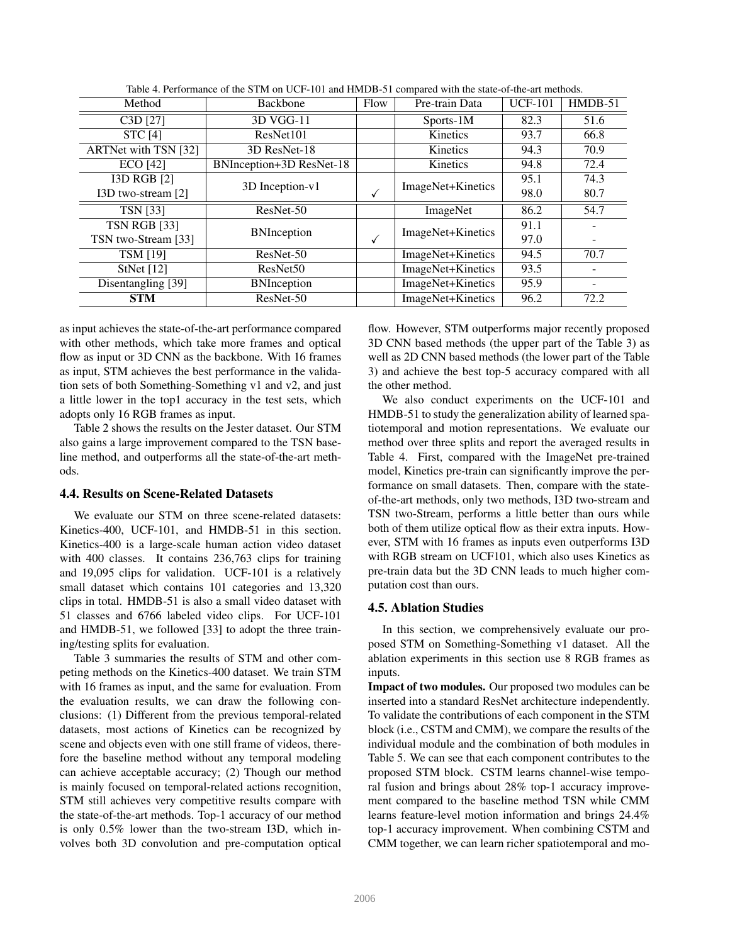| Method               | Backbone                        | Flow | Pre-train Data    |      | $HMDB-51$ |
|----------------------|---------------------------------|------|-------------------|------|-----------|
| C3D [27]             | 3D VGG-11                       |      | Sports-1M         | 82.3 | 51.6      |
| <b>STC</b> [4]       | ResNet101                       |      | Kinetics          | 93.7 | 66.8      |
| ARTNet with TSN [32] | 3D ResNet-18                    |      | Kinetics          | 94.3 | 70.9      |
| <b>ECO</b> [42]      | <b>BNInception+3D ResNet-18</b> |      | Kinetics          | 94.8 | 72.4      |
| <b>I3D RGB [2]</b>   | 3D Inception-v1                 |      | ImageNet+Kinetics | 95.1 | 74.3      |
| I3D two-stream [2]   |                                 | √    |                   | 98.0 | 80.7      |
| <b>TSN</b> [33]      | ResNet-50                       |      | ImageNet          | 86.2 | 54.7      |
| <b>TSN RGB [33]</b>  |                                 |      | ImageNet+Kinetics | 91.1 |           |
| TSN two-Stream [33]  | <b>BNInception</b>              | ✓    |                   | 97.0 |           |
| <b>TSM [19]</b>      | ResNet-50                       |      | ImageNet+Kinetics | 94.5 | 70.7      |
| StNet $[12]$         | ResNet <sub>50</sub>            |      | ImageNet+Kinetics | 93.5 |           |
| Disentangling [39]   | <b>BNInception</b>              |      | ImageNet+Kinetics | 95.9 |           |
| <b>STM</b>           | ResNet-50                       |      | ImageNet+Kinetics | 96.2 | 72.2      |

| Table 4. Performance of the STM on UCF-101 and HMDB-51 compared with the state-of-the-art methods. |  |  |  |
|----------------------------------------------------------------------------------------------------|--|--|--|
|                                                                                                    |  |  |  |

as input achieves the state-of-the-art performance compared with other methods, which take more frames and optical flow as input or 3D CNN as the backbone. With 16 frames as input, STM achieves the best performance in the validation sets of both Something-Something v1 and v2, and just a little lower in the top1 accuracy in the test sets, which adopts only 16 RGB frames as input.

Table 2 shows the results on the Jester dataset. Our STM also gains a large improvement compared to the TSN baseline method, and outperforms all the state-of-the-art methods.

# 4.4. Results on Scene-Related Datasets

We evaluate our STM on three scene-related datasets: Kinetics-400, UCF-101, and HMDB-51 in this section. Kinetics-400 is a large-scale human action video dataset with 400 classes. It contains 236,763 clips for training and 19,095 clips for validation. UCF-101 is a relatively small dataset which contains 101 categories and 13,320 clips in total. HMDB-51 is also a small video dataset with 51 classes and 6766 labeled video clips. For UCF-101 and HMDB-51, we followed [33] to adopt the three training/testing splits for evaluation.

Table 3 summaries the results of STM and other competing methods on the Kinetics-400 dataset. We train STM with 16 frames as input, and the same for evaluation. From the evaluation results, we can draw the following conclusions: (1) Different from the previous temporal-related datasets, most actions of Kinetics can be recognized by scene and objects even with one still frame of videos, therefore the baseline method without any temporal modeling can achieve acceptable accuracy; (2) Though our method is mainly focused on temporal-related actions recognition, STM still achieves very competitive results compare with the state-of-the-art methods. Top-1 accuracy of our method is only 0.5% lower than the two-stream I3D, which involves both 3D convolution and pre-computation optical flow. However, STM outperforms major recently proposed 3D CNN based methods (the upper part of the Table 3) as well as 2D CNN based methods (the lower part of the Table 3) and achieve the best top-5 accuracy compared with all the other method.

We also conduct experiments on the UCF-101 and HMDB-51 to study the generalization ability of learned spatiotemporal and motion representations. We evaluate our method over three splits and report the averaged results in Table 4. First, compared with the ImageNet pre-trained model, Kinetics pre-train can significantly improve the performance on small datasets. Then, compare with the stateof-the-art methods, only two methods, I3D two-stream and TSN two-Stream, performs a little better than ours while both of them utilize optical flow as their extra inputs. However, STM with 16 frames as inputs even outperforms I3D with RGB stream on UCF101, which also uses Kinetics as pre-train data but the 3D CNN leads to much higher computation cost than ours.

#### 4.5. Ablation Studies

In this section, we comprehensively evaluate our proposed STM on Something-Something v1 dataset. All the ablation experiments in this section use 8 RGB frames as inputs.

Impact of two modules. Our proposed two modules can be inserted into a standard ResNet architecture independently. To validate the contributions of each component in the STM block (i.e., CSTM and CMM), we compare the results of the individual module and the combination of both modules in Table 5. We can see that each component contributes to the proposed STM block. CSTM learns channel-wise temporal fusion and brings about 28% top-1 accuracy improvement compared to the baseline method TSN while CMM learns feature-level motion information and brings 24.4% top-1 accuracy improvement. When combining CSTM and CMM together, we can learn richer spatiotemporal and mo-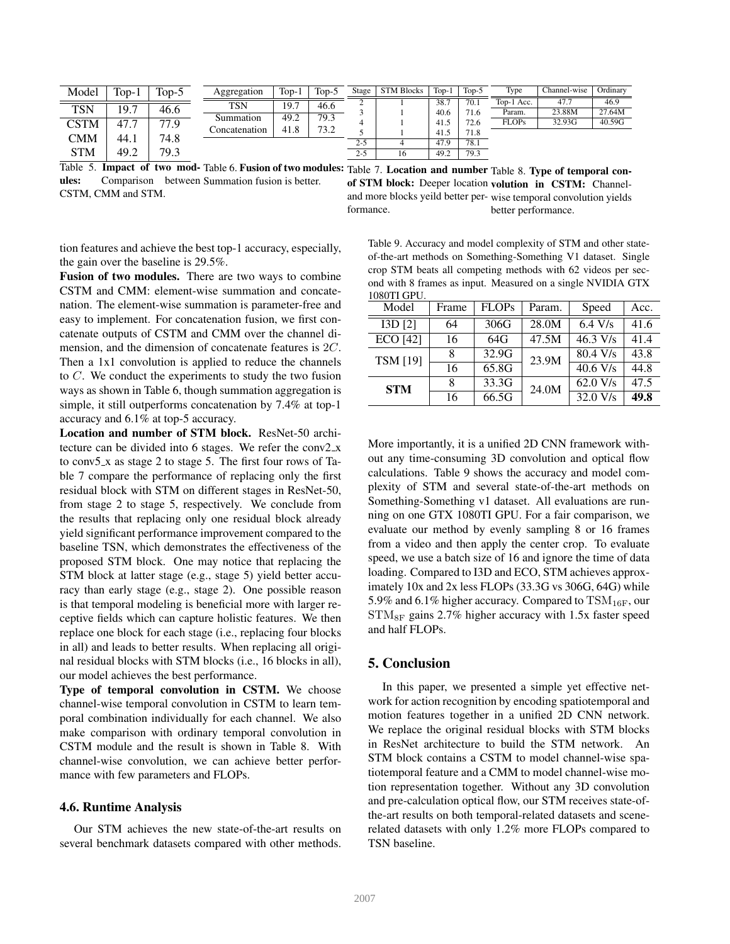| Model      | $Top-1$ | $Top-5$   | Aggregation   | $Top-1$ | $Top-5$ | Stage   | <b>STM Blocks</b> | $Top-1$ | Top-5 | Type         | Channel-wise | Ordinary |
|------------|---------|-----------|---------------|---------|---------|---------|-------------------|---------|-------|--------------|--------------|----------|
|            |         |           | <b>TSN</b>    | 19.7    | 46.6    | ∼       |                   | 38.7    | 70.1  | Top-1 Acc.   | 47.7         | 46.9     |
| TSN        | 19.7    | 46.6      |               |         |         |         |                   | 40.6    | 71.6  | Param.       | 23.88M       | 27.64M   |
| CSTM       | 47.7    | 77<br>7.9 | Summation     | 49.2    | 79.3    |         |                   | 41.5    | 72.6  | <b>FLOPs</b> | 32.93G       | 40.59G   |
|            |         |           | Concatenation | 41.8    | 73.2    |         |                   | 41.5    | 71.8  |              |              |          |
| CMM        | 44.1    | 74.8      |               |         |         | $2 - 5$ |                   | 47.9    | 78.1  |              |              |          |
|            |         |           |               |         |         |         |                   |         |       |              |              |          |
| <b>STM</b> | 49.2    | 79.3      |               |         |         | $2 - 5$ | 16                | 49.2    | 79.3  |              |              |          |

Table 5. Impact of two mod-Table 6. Fusion of two modules: Table 7. Location and number Table 8. Type of temporal conules: Comparison between Summation fusion is better. CSTM, CMM and STM.

of STM block: Deeper location volution in CSTM: Channeland more blocks yeild better per-wise temporal convolution yields formance. better performance.

tion features and achieve the best top-1 accuracy, especially, the gain over the baseline is 29.5%.

Fusion of two modules. There are two ways to combine CSTM and CMM: element-wise summation and concatenation. The element-wise summation is parameter-free and easy to implement. For concatenation fusion, we first concatenate outputs of CSTM and CMM over the channel dimension, and the dimension of concatenate features is 2C. Then a 1x1 convolution is applied to reduce the channels to C. We conduct the experiments to study the two fusion ways as shown in Table 6, though summation aggregation is simple, it still outperforms concatenation by 7.4% at top-1 accuracy and 6.1% at top-5 accuracy.

Location and number of STM block. ResNet-50 architecture can be divided into 6 stages. We refer the conv2 x to conv5 x as stage 2 to stage 5. The first four rows of Table 7 compare the performance of replacing only the first residual block with STM on different stages in ResNet-50, from stage 2 to stage 5, respectively. We conclude from the results that replacing only one residual block already yield significant performance improvement compared to the baseline TSN, which demonstrates the effectiveness of the proposed STM block. One may notice that replacing the STM block at latter stage (e.g., stage 5) yield better accuracy than early stage (e.g., stage 2). One possible reason is that temporal modeling is beneficial more with larger receptive fields which can capture holistic features. We then replace one block for each stage (i.e., replacing four blocks in all) and leads to better results. When replacing all original residual blocks with STM blocks (i.e., 16 blocks in all), our model achieves the best performance.

Type of temporal convolution in CSTM. We choose channel-wise temporal convolution in CSTM to learn temporal combination individually for each channel. We also make comparison with ordinary temporal convolution in CSTM module and the result is shown in Table 8. With channel-wise convolution, we can achieve better performance with few parameters and FLOPs.

#### 4.6. Runtime Analysis

Our STM achieves the new state-of-the-art results on several benchmark datasets compared with other methods.

Table 9. Accuracy and model complexity of STM and other stateof-the-art methods on Something-Something V1 dataset. Single crop STM beats all competing methods with 62 videos per second with 8 frames as input. Measured on a single NVIDIA GTX 1080TI GPU.

| Model           | Frame | <b>FLOPs</b> | Param. | Speed              | Acc. |
|-----------------|-------|--------------|--------|--------------------|------|
| I3D [2]         | 64    | 306G         | 28.0M  | $6.4 \text{ V/s}$  | 41.6 |
| <b>ECO</b> [42] | 16    | 64G          | 47.5M  | $46.3 \text{ V/s}$ | 41.4 |
| <b>TSM [19]</b> | 8     | 32.9G        | 23.9M  | $80.4 \text{ V/s}$ | 43.8 |
|                 | 16    | 65.8G        |        | $40.6$ V/s         | 44.8 |
| <b>STM</b>      | 8     | 33.3G        | 24.0M  | 62.0 V/s           | 47.5 |
|                 | 16    | 66.5G        |        | 32.0 V/s           | 49.8 |

More importantly, it is a unified 2D CNN framework without any time-consuming 3D convolution and optical flow calculations. Table 9 shows the accuracy and model complexity of STM and several state-of-the-art methods on Something-Something v1 dataset. All evaluations are running on one GTX 1080TI GPU. For a fair comparison, we evaluate our method by evenly sampling 8 or 16 frames from a video and then apply the center crop. To evaluate speed, we use a batch size of 16 and ignore the time of data loading. Compared to I3D and ECO, STM achieves approximately 10x and 2x less FLOPs (33.3G vs 306G, 64G) while 5.9% and 6.1% higher accuracy. Compared to  $\text{TSM}_{16F}$ , our  $STM_{8F}$  gains 2.7% higher accuracy with 1.5x faster speed and half FLOPs.

# 5. Conclusion

In this paper, we presented a simple yet effective network for action recognition by encoding spatiotemporal and motion features together in a unified 2D CNN network. We replace the original residual blocks with STM blocks in ResNet architecture to build the STM network. An STM block contains a CSTM to model channel-wise spatiotemporal feature and a CMM to model channel-wise motion representation together. Without any 3D convolution and pre-calculation optical flow, our STM receives state-ofthe-art results on both temporal-related datasets and scenerelated datasets with only 1.2% more FLOPs compared to TSN baseline.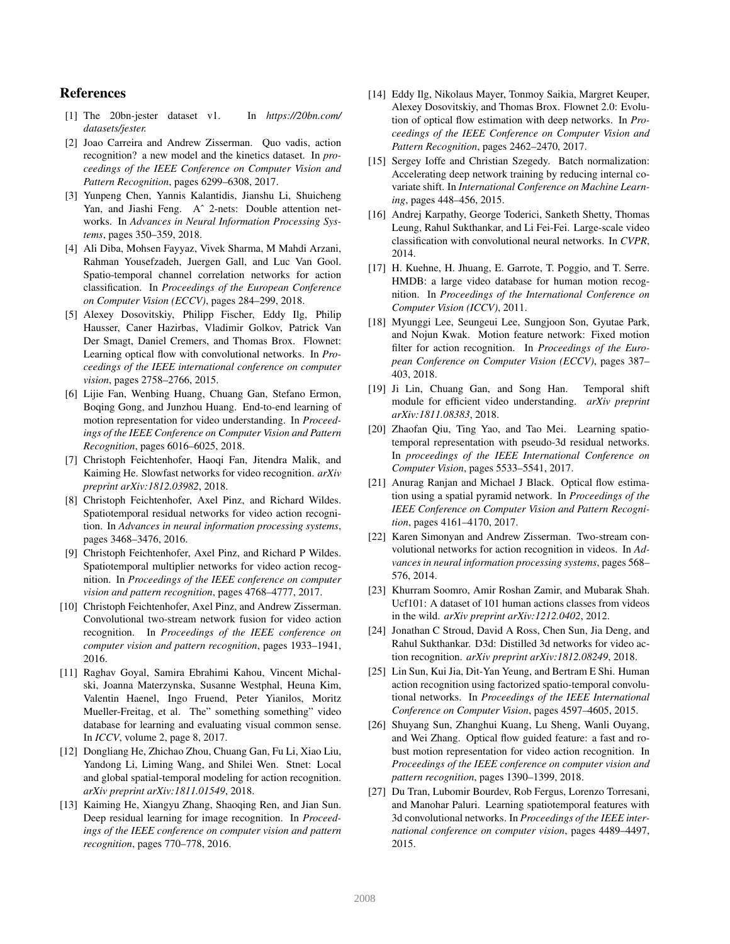# References

- [1] The 20bn-jester dataset v1. In *https://20bn.com/ datasets/jester.*
- [2] Joao Carreira and Andrew Zisserman. Quo vadis, action recognition? a new model and the kinetics dataset. In *proceedings of the IEEE Conference on Computer Vision and Pattern Recognition*, pages 6299–6308, 2017.
- [3] Yunpeng Chen, Yannis Kalantidis, Jianshu Li, Shuicheng Yan, and Jiashi Feng. Aˆ 2-nets: Double attention networks. In *Advances in Neural Information Processing Systems*, pages 350–359, 2018.
- [4] Ali Diba, Mohsen Fayyaz, Vivek Sharma, M Mahdi Arzani, Rahman Yousefzadeh, Juergen Gall, and Luc Van Gool. Spatio-temporal channel correlation networks for action classification. In *Proceedings of the European Conference on Computer Vision (ECCV)*, pages 284–299, 2018.
- [5] Alexey Dosovitskiy, Philipp Fischer, Eddy Ilg, Philip Hausser, Caner Hazirbas, Vladimir Golkov, Patrick Van Der Smagt, Daniel Cremers, and Thomas Brox. Flownet: Learning optical flow with convolutional networks. In *Proceedings of the IEEE international conference on computer vision*, pages 2758–2766, 2015.
- [6] Lijie Fan, Wenbing Huang, Chuang Gan, Stefano Ermon, Boqing Gong, and Junzhou Huang. End-to-end learning of motion representation for video understanding. In *Proceedings of the IEEE Conference on Computer Vision and Pattern Recognition*, pages 6016–6025, 2018.
- [7] Christoph Feichtenhofer, Haoqi Fan, Jitendra Malik, and Kaiming He. Slowfast networks for video recognition. *arXiv preprint arXiv:1812.03982*, 2018.
- [8] Christoph Feichtenhofer, Axel Pinz, and Richard Wildes. Spatiotemporal residual networks for video action recognition. In *Advances in neural information processing systems*, pages 3468–3476, 2016.
- [9] Christoph Feichtenhofer, Axel Pinz, and Richard P Wildes. Spatiotemporal multiplier networks for video action recognition. In *Proceedings of the IEEE conference on computer vision and pattern recognition*, pages 4768–4777, 2017.
- [10] Christoph Feichtenhofer, Axel Pinz, and Andrew Zisserman. Convolutional two-stream network fusion for video action recognition. In *Proceedings of the IEEE conference on computer vision and pattern recognition*, pages 1933–1941, 2016.
- [11] Raghav Goyal, Samira Ebrahimi Kahou, Vincent Michalski, Joanna Materzynska, Susanne Westphal, Heuna Kim, Valentin Haenel, Ingo Fruend, Peter Yianilos, Moritz Mueller-Freitag, et al. The" something something" video database for learning and evaluating visual common sense. In *ICCV*, volume 2, page 8, 2017.
- [12] Dongliang He, Zhichao Zhou, Chuang Gan, Fu Li, Xiao Liu, Yandong Li, Liming Wang, and Shilei Wen. Stnet: Local and global spatial-temporal modeling for action recognition. *arXiv preprint arXiv:1811.01549*, 2018.
- [13] Kaiming He, Xiangyu Zhang, Shaoqing Ren, and Jian Sun. Deep residual learning for image recognition. In *Proceedings of the IEEE conference on computer vision and pattern recognition*, pages 770–778, 2016.
- [14] Eddy Ilg, Nikolaus Mayer, Tonmoy Saikia, Margret Keuper, Alexey Dosovitskiy, and Thomas Brox. Flownet 2.0: Evolution of optical flow estimation with deep networks. In *Proceedings of the IEEE Conference on Computer Vision and Pattern Recognition*, pages 2462–2470, 2017.
- [15] Sergey Ioffe and Christian Szegedy. Batch normalization: Accelerating deep network training by reducing internal covariate shift. In *International Conference on Machine Learning*, pages 448–456, 2015.
- [16] Andrej Karpathy, George Toderici, Sanketh Shetty, Thomas Leung, Rahul Sukthankar, and Li Fei-Fei. Large-scale video classification with convolutional neural networks. In *CVPR*, 2014.
- [17] H. Kuehne, H. Jhuang, E. Garrote, T. Poggio, and T. Serre. HMDB: a large video database for human motion recognition. In *Proceedings of the International Conference on Computer Vision (ICCV)*, 2011.
- [18] Myunggi Lee, Seungeui Lee, Sungjoon Son, Gyutae Park, and Nojun Kwak. Motion feature network: Fixed motion filter for action recognition. In *Proceedings of the European Conference on Computer Vision (ECCV)*, pages 387– 403, 2018.
- [19] Ji Lin, Chuang Gan, and Song Han. Temporal shift module for efficient video understanding. *arXiv preprint arXiv:1811.08383*, 2018.
- [20] Zhaofan Qiu, Ting Yao, and Tao Mei. Learning spatiotemporal representation with pseudo-3d residual networks. In *proceedings of the IEEE International Conference on Computer Vision*, pages 5533–5541, 2017.
- [21] Anurag Ranjan and Michael J Black. Optical flow estimation using a spatial pyramid network. In *Proceedings of the IEEE Conference on Computer Vision and Pattern Recognition*, pages 4161–4170, 2017.
- [22] Karen Simonyan and Andrew Zisserman. Two-stream convolutional networks for action recognition in videos. In *Advances in neural information processing systems*, pages 568– 576, 2014.
- [23] Khurram Soomro, Amir Roshan Zamir, and Mubarak Shah. Ucf101: A dataset of 101 human actions classes from videos in the wild. *arXiv preprint arXiv:1212.0402*, 2012.
- [24] Jonathan C Stroud, David A Ross, Chen Sun, Jia Deng, and Rahul Sukthankar. D3d: Distilled 3d networks for video action recognition. *arXiv preprint arXiv:1812.08249*, 2018.
- [25] Lin Sun, Kui Jia, Dit-Yan Yeung, and Bertram E Shi. Human action recognition using factorized spatio-temporal convolutional networks. In *Proceedings of the IEEE International Conference on Computer Vision*, pages 4597–4605, 2015.
- [26] Shuyang Sun, Zhanghui Kuang, Lu Sheng, Wanli Ouyang, and Wei Zhang. Optical flow guided feature: a fast and robust motion representation for video action recognition. In *Proceedings of the IEEE conference on computer vision and pattern recognition*, pages 1390–1399, 2018.
- [27] Du Tran, Lubomir Bourdev, Rob Fergus, Lorenzo Torresani, and Manohar Paluri. Learning spatiotemporal features with 3d convolutional networks. In *Proceedings of the IEEE international conference on computer vision*, pages 4489–4497, 2015.